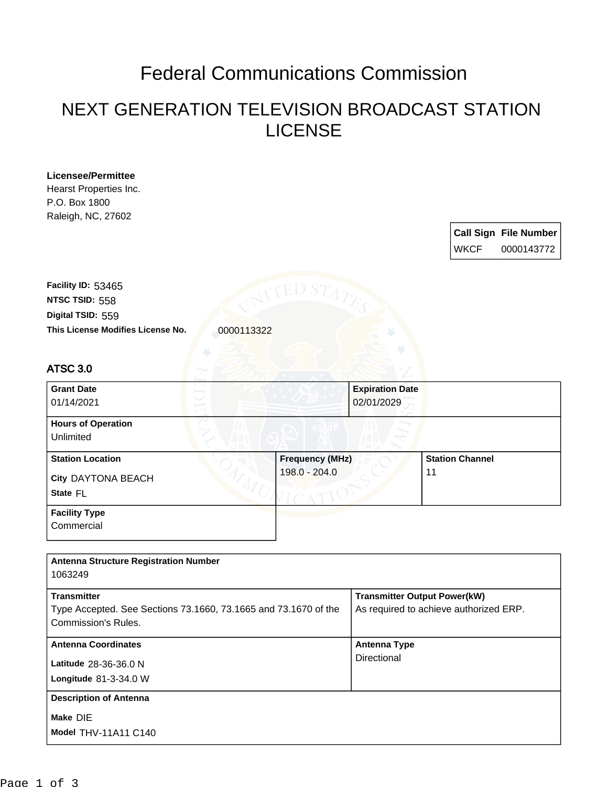## Federal Communications Commission

## NEXT GENERATION TELEVISION BROADCAST STATION LICENSE

| Licensee/Permittee                                              |                        |                                     |                                        |                              |
|-----------------------------------------------------------------|------------------------|-------------------------------------|----------------------------------------|------------------------------|
| Hearst Properties Inc.                                          |                        |                                     |                                        |                              |
| P.O. Box 1800                                                   |                        |                                     |                                        |                              |
| Raleigh, NC, 27602                                              |                        |                                     |                                        |                              |
|                                                                 |                        |                                     |                                        | <b>Call Sign File Number</b> |
|                                                                 |                        |                                     |                                        |                              |
|                                                                 |                        |                                     | <b>WKCF</b>                            | 0000143772                   |
|                                                                 |                        |                                     |                                        |                              |
| Facility ID: 53465                                              |                        |                                     |                                        |                              |
| NTSC TSID: 558                                                  | ED S^                  |                                     |                                        |                              |
|                                                                 |                        |                                     |                                        |                              |
| Digital TSID: 559                                               |                        |                                     |                                        |                              |
| This License Modifies License No.<br>0000113322                 |                        |                                     |                                        |                              |
|                                                                 |                        |                                     |                                        |                              |
| <b>ATSC 3.0</b>                                                 |                        |                                     |                                        |                              |
|                                                                 |                        |                                     |                                        |                              |
| <b>Grant Date</b>                                               |                        | <b>Expiration Date</b>              |                                        |                              |
| 01/14/2021                                                      |                        | 02/01/2029                          |                                        |                              |
|                                                                 |                        |                                     |                                        |                              |
| <b>Hours of Operation</b>                                       |                        |                                     |                                        |                              |
| Unlimited                                                       |                        |                                     |                                        |                              |
| <b>Station Location</b>                                         | <b>Frequency (MHz)</b> |                                     | <b>Station Channel</b>                 |                              |
|                                                                 | 198.0 - 204.0          |                                     | 11                                     |                              |
| City DAYTONA BEACH                                              |                        |                                     |                                        |                              |
| State FL                                                        |                        |                                     |                                        |                              |
| <b>Facility Type</b>                                            |                        |                                     |                                        |                              |
| Commercial                                                      |                        |                                     |                                        |                              |
|                                                                 |                        |                                     |                                        |                              |
|                                                                 |                        |                                     |                                        |                              |
| <b>Antenna Structure Registration Number</b>                    |                        |                                     |                                        |                              |
| 1063249                                                         |                        |                                     |                                        |                              |
| <b>Transmitter</b>                                              |                        | <b>Transmitter Output Power(kW)</b> |                                        |                              |
| Type Accepted. See Sections 73.1660, 73.1665 and 73.1670 of the |                        |                                     | As required to achieve authorized ERP. |                              |
| Commission's Rules.                                             |                        |                                     |                                        |                              |
|                                                                 |                        |                                     |                                        |                              |
| <b>Antenna Coordinates</b>                                      |                        | <b>Antenna Type</b>                 |                                        |                              |
| Latitude 28-36-36.0 N                                           |                        | Directional                         |                                        |                              |
|                                                                 |                        |                                     |                                        |                              |
| Longitude 81-3-34.0 W                                           |                        |                                     |                                        |                              |
| <b>Description of Antenna</b>                                   |                        |                                     |                                        |                              |
| Make DIE                                                        |                        |                                     |                                        |                              |
|                                                                 |                        |                                     |                                        |                              |
| Model THV-11A11 C140                                            |                        |                                     |                                        |                              |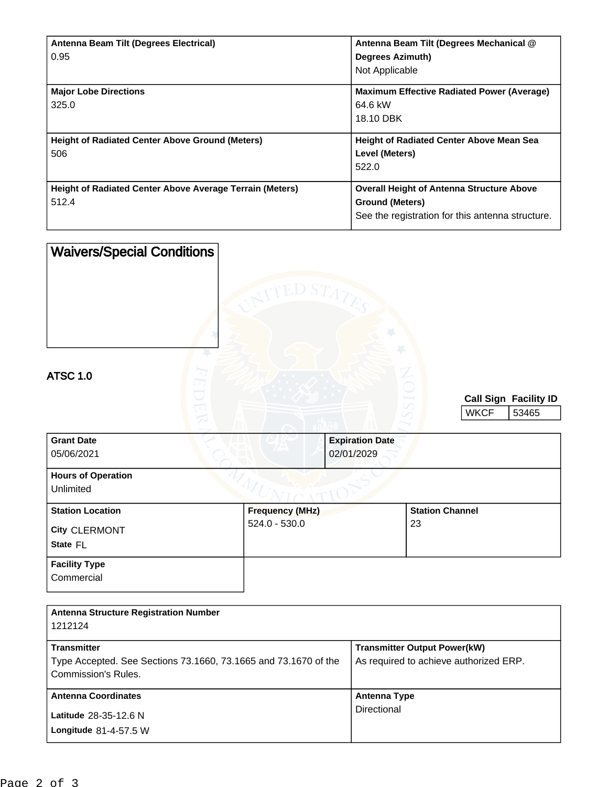| Antenna Beam Tilt (Degrees Electrical)                          | Antenna Beam Tilt (Degrees Mechanical @           |
|-----------------------------------------------------------------|---------------------------------------------------|
| 0.95                                                            | <b>Degrees Azimuth)</b>                           |
|                                                                 | Not Applicable                                    |
| <b>Major Lobe Directions</b>                                    | <b>Maximum Effective Radiated Power (Average)</b> |
| 325.0                                                           | 64.6 kW                                           |
|                                                                 | 18.10 DBK                                         |
|                                                                 |                                                   |
| <b>Height of Radiated Center Above Ground (Meters)</b>          | <b>Height of Radiated Center Above Mean Sea</b>   |
| 506                                                             | Level (Meters)                                    |
|                                                                 | 522.0                                             |
| <b>Height of Radiated Center Above Average Terrain (Meters)</b> | <b>Overall Height of Antenna Structure Above</b>  |
| 512.4                                                           |                                                   |
|                                                                 | <b>Ground (Meters)</b>                            |
|                                                                 | See the registration for this antenna structure.  |

| <b>Waivers/Special Conditions</b>                    | eed S $T_A$                             |                                      |                              |                                |
|------------------------------------------------------|-----------------------------------------|--------------------------------------|------------------------------|--------------------------------|
| <b>ATSC 1.0</b>                                      |                                         |                                      | <b>WKCF</b>                  | Call Sign Facility ID<br>53465 |
| <b>Grant Date</b><br>05/06/2021                      |                                         | <b>Expiration Date</b><br>02/01/2029 |                              |                                |
| <b>Hours of Operation</b><br>Unlimited               |                                         |                                      |                              |                                |
| <b>Station Location</b><br>City CLERMONT<br>State FL | <b>Frequency (MHz)</b><br>524.0 - 530.0 |                                      | <b>Station Channel</b><br>23 |                                |
| <b>Facility Type</b><br>Commercial                   |                                         |                                      |                              |                                |

| <b>Antenna Structure Registration Number</b><br>1212124                                                      |                                                                               |  |  |
|--------------------------------------------------------------------------------------------------------------|-------------------------------------------------------------------------------|--|--|
| <b>Transmitter</b><br>Type Accepted. See Sections 73.1660, 73.1665 and 73.1670 of the<br>Commission's Rules. | <b>Transmitter Output Power(kW)</b><br>As required to achieve authorized ERP. |  |  |
| <b>Antenna Coordinates</b><br>Latitude 28-35-12.6 N<br>Longitude $81-4-57.5$ W                               | Antenna Type<br>Directional                                                   |  |  |